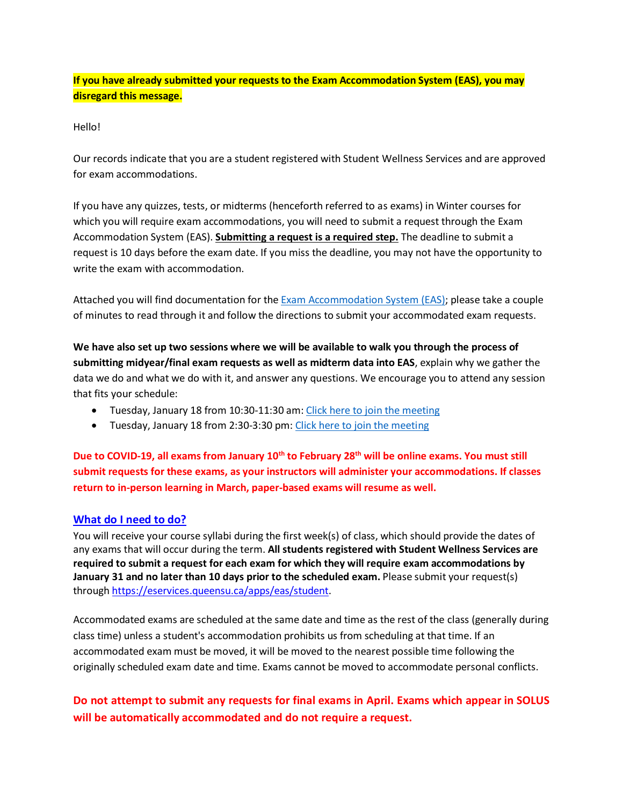**If you have already submitted your requests to the Exam Accommodation System (EAS), you may disregard this message.**

Hello!

Our records indicate that you are a student registered with Student Wellness Services and are approved for exam accommodations.

If you have any quizzes, tests, or midterms (henceforth referred to as exams) in Winter courses for which you will require exam accommodations, you will need to submit a request through the Exam Accommodation System (EAS). **Submitting a request is a required step.** The deadline to submit a request is 10 days before the exam date. If you miss the deadline, you may not have the opportunity to write the exam with accommodation.

Attached you will find documentation for the [Exam Accommodation System \(EAS\);](https://eservices.queensu.ca/apps/eas/student) please take a couple of minutes to read through it and follow the directions to submit your accommodated exam requests.

**We have also set up two sessions where we will be available to walk you through the process of submitting midyear/final exam requests as well as midterm data into EAS**, explain why we gather the data we do and what we do with it, and answer any questions. We encourage you to attend any session that fits your schedule:

- Tuesday, January 18 from 10:30-11:30 am: [Click here to join the meeting](https://teams.microsoft.com/l/meetup-join/19%3ameeting_ZTY1MDNlMDctZTg1MS00MzQxLWJhZjQtOWU5NjgyMGU4NmE0%40thread.v2/0?context=%7b%22Tid%22%3a%22d61ecb3b-38b1-42d5-82c4-efb2838b925c%22%2c%22Oid%22%3a%22d29a3d90-21c3-47f4-b895-af02e473fa4b%22%7d)
- Tuesday, January 18 from 2:30-3:30 pm: [Click here to join the meeting](https://teams.microsoft.com/l/meetup-join/19%3ameeting_MzJhMjE1OWMtNDdkNC00ZTgzLWIwZWMtMzdlZjcxNmY1ZTgz%40thread.v2/0?context=%7b%22Tid%22%3a%22d61ecb3b-38b1-42d5-82c4-efb2838b925c%22%2c%22Oid%22%3a%22d29a3d90-21c3-47f4-b895-af02e473fa4b%22%7d)

**Due to COVID-19, all exams from January 10th to February 28th will be online exams. You must still submit requests for these exams, as your instructors will administer your accommodations. If classes return to in-person learning in March, paper-based exams will resume as well.**

#### **What do I need to do?**

You will receive your course syllabi during the first week(s) of class, which should provide the dates of any exams that will occur during the term. **All students registered with Student Wellness Services are required to submit a request for each exam for which they will require exam accommodations by January 31 and no later than 10 days prior to the scheduled exam.** Please submit your request(s) through [https://eservices.queensu.ca/apps/eas/student.](https://eservices.queensu.ca/apps/eas/student)

Accommodated exams are scheduled at the same date and time as the rest of the class (generally during class time) unless a student's accommodation prohibits us from scheduling at that time. If an accommodated exam must be moved, it will be moved to the nearest possible time following the originally scheduled exam date and time. Exams cannot be moved to accommodate personal conflicts.

# **Do not attempt to submit any requests for final exams in April. Exams which appear in SOLUS will be automatically accommodated and do not require a request.**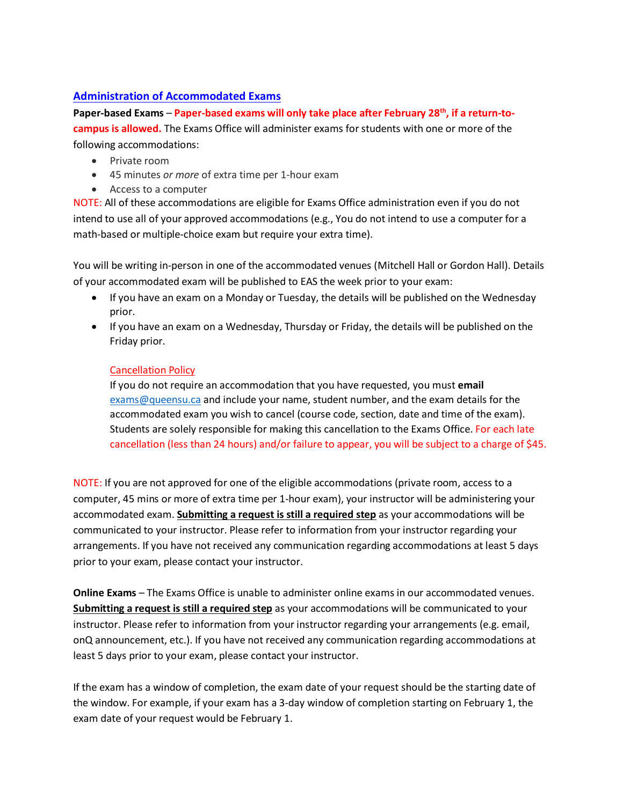#### **Administration of Accommodated Exams**

**Paper-based Exams** – **Paper-based exams will only take place after February 28th, if a return-tocampus is allowed.** The Exams Office will administer exams for students with one or more of the following accommodations:

- Private room
- 45 minutes *or more* of extra time per 1-hour exam
- Access to a computer

NOTE: All of these accommodations are eligible for Exams Office administration even if you do not intend to use all of your approved accommodations (e.g., You do not intend to use a computer for a math-based or multiple-choice exam but require your extra time).

You will be writing in-person in one of the accommodated venues (Mitchell Hall or Gordon Hall). Details of your accommodated exam will be published to EAS the week prior to your exam:

- If you have an exam on a Monday or Tuesday, the details will be published on the Wednesday prior.
- If you have an exam on a Wednesday, Thursday or Friday, the details will be published on the Friday prior.

#### Cancellation Policy

If you do not require an accommodation that you have requested, you must **email** [exams@queensu.ca](mailto:exams@queensu.ca) and include your name, student number, and the exam details for the accommodated exam you wish to cancel (course code, section, date and time of the exam). Students are solely responsible for making this cancellation to the Exams Office. For each late cancellation (less than 24 hours) and/or failure to appear, you will be subject to a charge of \$45.

NOTE: If you are not approved for one of the eligible accommodations (private room, access to a computer, 45 mins or more of extra time per 1-hour exam), your instructor will be administering your accommodated exam. **Submitting a request is still a required step** as your accommodations will be communicated to your instructor. Please refer to information from your instructor regarding your arrangements. If you have not received any communication regarding accommodations at least 5 days prior to your exam, please contact your instructor.

**Online Exams** – The Exams Office is unable to administer online exams in our accommodated venues. **Submitting a request is still a required step** as your accommodations will be communicated to your instructor. Please refer to information from your instructor regarding your arrangements (e.g. email, onQ announcement, etc.). If you have not received any communication regarding accommodations at least 5 days prior to your exam, please contact your instructor.

If the exam has a window of completion, the exam date of your request should be the starting date of the window. For example, if your exam has a 3-day window of completion starting on February 1, the exam date of your request would be February 1.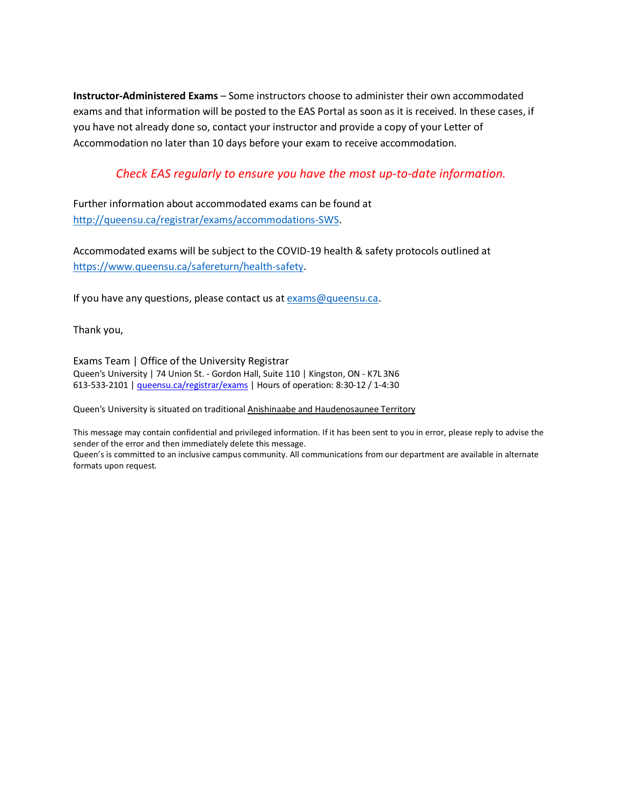**Instructor-Administered Exams** – Some instructors choose to administer their own accommodated exams and that information will be posted to the EAS Portal as soon as it is received. In these cases, if you have not already done so, contact your instructor and provide a copy of your Letter of Accommodation no later than 10 days before your exam to receive accommodation.

#### *Check EAS regularly to ensure you have the most up-to-date information.*

Further information about accommodated exams can be found at [http://queensu.ca/registrar/exams/accommodations-SWS.](http://queensu.ca/registrar/exams/accommodations-SWS)

Accommodated exams will be subject to the COVID-19 health & safety protocols outlined at [https://www.queensu.ca/safereturn/health-safety.](https://www.queensu.ca/safereturn/health-safety)

If you have any questions, please contact us at [exams@queensu.ca.](mailto:exams@queensu.ca)

Thank you,

Exams Team | Office of the University Registrar Queen's University | 74 Union St. - Gordon Hall, Suite 110 | Kingston, ON - K7L 3N6 613-533-2101 [| queensu.ca/registrar/exams](http://www.queensu.ca/registrar/exams) | Hours of operation: 8:30-12 / 1-4:30

Queen's University is situated on traditional [Anishinaabe and Haudenosaunee Territory](https://www.queensu.ca/encyclopedia/t/traditional-territories)

This message may contain confidential and privileged information. If it has been sent to you in error, please reply to advise the sender of the error and then immediately delete this message.

Queen's is committed to an inclusive campus community. All communications from our department are available in alternate formats upon request.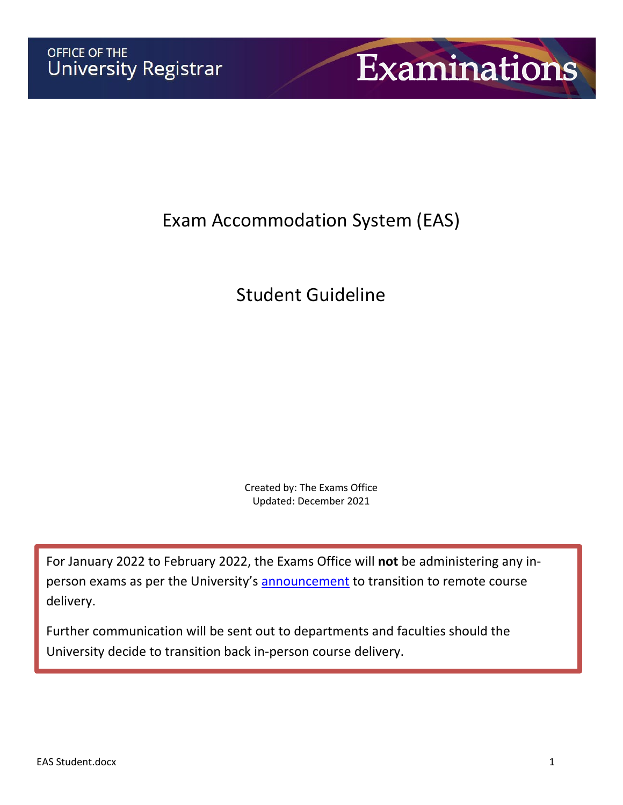

# Exam Accommodation System (EAS)

# Student Guideline

Created by: The Exams Office Updated: December 2021

For January 2022 to February 2022, the Exams Office will **not** be administering any inperson exams as per the University's [announcement](https://www.queensu.ca/safereturn/queens-transitions-remote-delivery-january-february-2022) to transition to remote course delivery.

Further communication will be sent out to departments and faculties should the University decide to transition back in-person course delivery.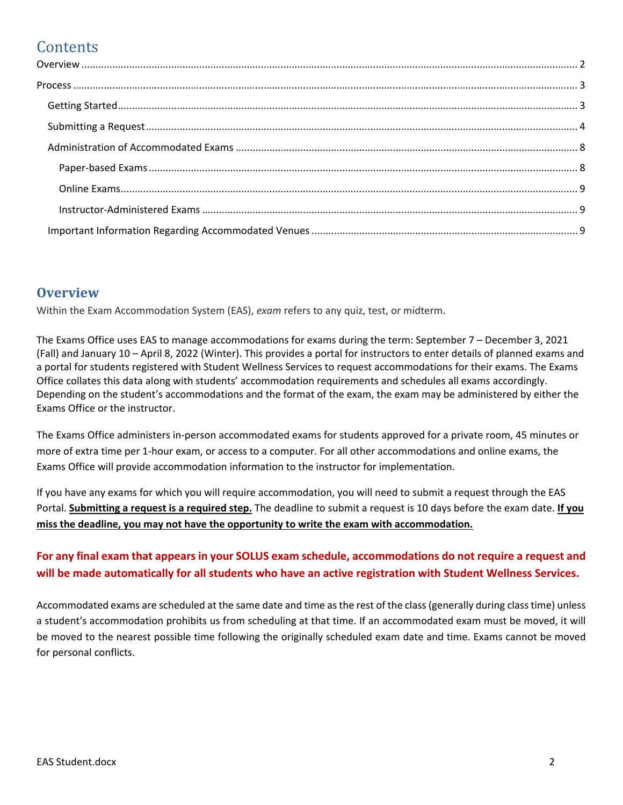# **Contents**

#### <span id="page-4-0"></span>**Overview**

Within the Exam Accommodation System (EAS), *exam* refers to any quiz, test, or midterm.

The Exams Office uses EAS to manage accommodations for exams during the term: September 7 – December 3, 2021 (Fall) and January 10 – April 8, 2022 (Winter). This provides a portal for instructors to enter details of planned exams and a portal for students registered with Student Wellness Services to request accommodations for their exams. The Exams Office collates this data along with students' accommodation requirements and schedules all exams accordingly. Depending on the student's accommodations and the format of the exam, the exam may be administered by either the Exams Office or the instructor.

The Exams Office administers in-person accommodated exams for students approved for a private room, 45 minutes or more of extra time per 1-hour exam, or access to a computer. For all other accommodations and online exams, the Exams Office will provide accommodation information to the instructor for implementation.

If you have any exams for which you will require accommodation, you will need to submit a request through the EAS Portal. **Submitting a request is a required step.** The deadline to submit a request is 10 days before the exam date. **If you miss the deadline, you may not have the opportunity to write the exam with accommodation.**

# **For any final exam that appears in your SOLUS exam schedule, accommodations do not require a request and will be made automatically for all students who have an active registration with Student Wellness Services.**

Accommodated exams are scheduled at the same date and time as the rest of the class (generally during class time) unless a student's accommodation prohibits us from scheduling at that time. If an accommodated exam must be moved, it will be moved to the nearest possible time following the originally scheduled exam date and time. Exams cannot be moved for personal conflicts.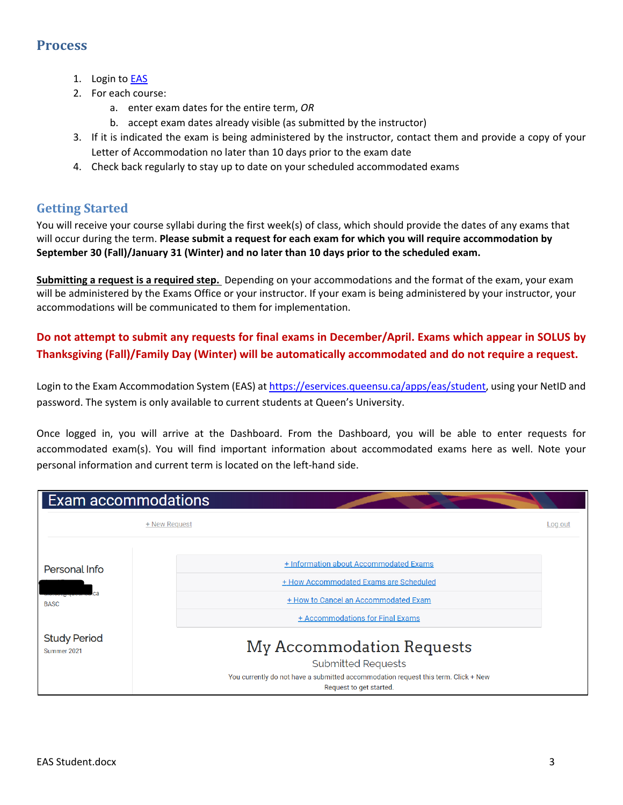# <span id="page-5-0"></span>**Process**

- 1. Login to **EAS**
- 2. For each course:
	- a. enter exam dates for the entire term, *OR*
	- b. accept exam dates already visible (as submitted by the instructor)
- 3. If it is indicated the exam is being administered by the instructor, contact them and provide a copy of your Letter of Accommodation no later than 10 days prior to the exam date
- 4. Check back regularly to stay up to date on your scheduled accommodated exams

# <span id="page-5-1"></span>**Getting Started**

You will receive your course syllabi during the first week(s) of class, which should provide the dates of any exams that will occur during the term. **Please submit a request for each exam for which you will require accommodation by September 30 (Fall)/January 31 (Winter) and no later than 10 days prior to the scheduled exam.** 

**Submitting a request is a required step.** Depending on your accommodations and the format of the exam, your exam will be administered by the Exams Office or your instructor. If your exam is being administered by your instructor, your accommodations will be communicated to them for implementation.

**Do not attempt to submit any requests for final exams in December/April. Exams which appear in SOLUS by Thanksgiving (Fall)/Family Day (Winter) will be automatically accommodated and do not require a request.**

Login to the Exam Accommodation System (EAS) at https://eservices.queensu.ca/apps/eas/student, using your NetID and password. The system is only available to current students at Queen's University.

Once logged in, you will arrive at the Dashboard. From the Dashboard, you will be able to enter requests for accommodated exam(s). You will find important information about accommodated exams here as well. Note your personal information and current term is located on the left-hand side.

| <b>Exam accommodations</b>         |                                                                                                               |         |
|------------------------------------|---------------------------------------------------------------------------------------------------------------|---------|
|                                    | + New Request                                                                                                 | Log out |
|                                    |                                                                                                               |         |
| Personal Info                      | <b>+ Information about Accommodated Exams</b>                                                                 |         |
|                                    | + How Accommodated Exams are Scheduled                                                                        |         |
| <b>BASC</b>                        | + How to Cancel an Accommodated Exam                                                                          |         |
|                                    | + Accommodations for Final Exams                                                                              |         |
| <b>Study Period</b><br>Summer 2021 | My Accommodation Requests                                                                                     |         |
|                                    | <b>Submitted Requests</b>                                                                                     |         |
|                                    | You currently do not have a submitted accommodation request this term. Click + New<br>Request to get started. |         |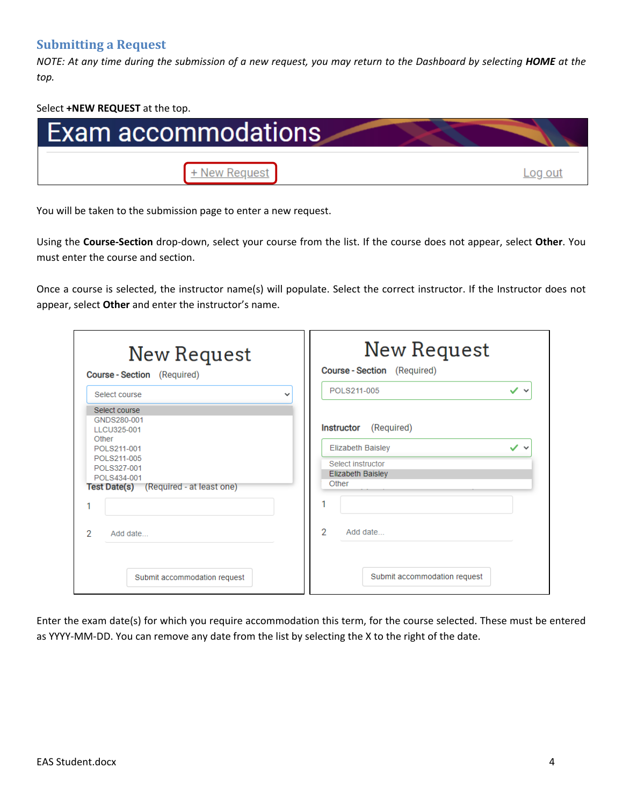# <span id="page-6-0"></span>**Submitting a Request**

*NOTE: At any time during the submission of a new request, you may return to the Dashboard by selecting HOME at the top.*

Select **+NEW REQUEST** at the top.



You will be taken to the submission page to enter a new request.

Using the **Course-Section** drop-down, select your course from the list. If the course does not appear, select **Other**. You must enter the course and section.

Once a course is selected, the instructor name(s) will populate. Select the correct instructor. If the Instructor does not appear, select **Other** and enter the instructor's name.

| New Request<br><b>Course-Section</b> (Required)                                                                                                            | New Request<br>Course - Section (Required)                                                                            |
|------------------------------------------------------------------------------------------------------------------------------------------------------------|-----------------------------------------------------------------------------------------------------------------------|
| Select course                                                                                                                                              | POLS211-005<br>$\checkmark$ $\checkmark$                                                                              |
| Select course<br>GNDS280-001<br>TTCU325-001<br>Other<br>POLS211-001<br>POLS211-005<br>POLS327-001<br>POLS434-001<br>Test Date(s) (Required - at least one) | <b>Instructor</b><br>(Required)<br><b>Elizabeth Baisley</b><br>Select instructor<br><b>Elizabeth Baisley</b><br>Other |
| 1<br>2<br>Add date                                                                                                                                         | 2<br>Add date                                                                                                         |
| Submit accommodation request                                                                                                                               | Submit accommodation request                                                                                          |

Enter the exam date(s) for which you require accommodation this term, for the course selected. These must be entered as YYYY-MM-DD. You can remove any date from the list by selecting the X to the right of the date.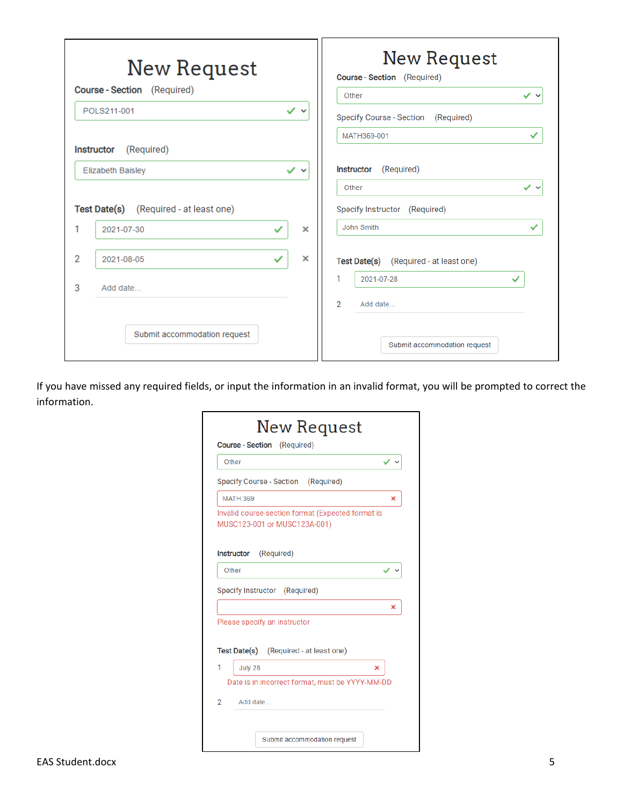|                | New Request                            |                           | New Request<br>Course - Section (Required)    |
|----------------|----------------------------------------|---------------------------|-----------------------------------------------|
|                | Course - Section (Required)            |                           | $\checkmark$ $\checkmark$<br>Other            |
|                | POLS211-001                            | ✓╰                        | <b>Specify Course - Section</b><br>(Required) |
|                |                                        |                           | MATH369-001<br>✓                              |
|                | (Required)<br>Instructor               |                           |                                               |
|                | <b>Elizabeth Baisley</b>               | $\checkmark$ $\checkmark$ | (Required)<br><b>Instructor</b>               |
|                |                                        |                           | $\checkmark$ $\checkmark$<br>Other            |
|                | Test Date(s) (Required - at least one) |                           | Specify Instructor (Required)                 |
| 1              | 2021-07-30<br>✓                        | $\times$                  | John Smith<br>✓                               |
| $\overline{2}$ | ✓<br>2021-08-05                        | $\times$                  | Test Date(s) (Required - at least one)        |
| 3              | Add date                               |                           | 1<br>2021-07-28<br>✓                          |
|                |                                        |                           | 2<br>Add date                                 |
|                | Submit accommodation request           |                           | Submit accommodation request                  |

If you have missed any required fields, or input the information in an invalid format, you will be prompted to correct the information.

|   | Other                                                                             |   |
|---|-----------------------------------------------------------------------------------|---|
|   | Specify Course - Section (Required)                                               |   |
|   | <b>MATH 369</b>                                                                   | × |
|   | Invalid course-section format (Expected format is<br>MUSC123-001 or MUSC123A-001) |   |
|   | Instructor<br>(Required)                                                          |   |
|   | Other                                                                             |   |
|   |                                                                                   |   |
|   | Specify Instructor (Required)                                                     |   |
|   | Please specify an instructor                                                      | × |
|   | <b>Test Date(s)</b> (Required - at least one)                                     |   |
| 1 | July 28<br>×                                                                      |   |
|   | Date is in incorrect format, must be YYYY-MM-DD                                   |   |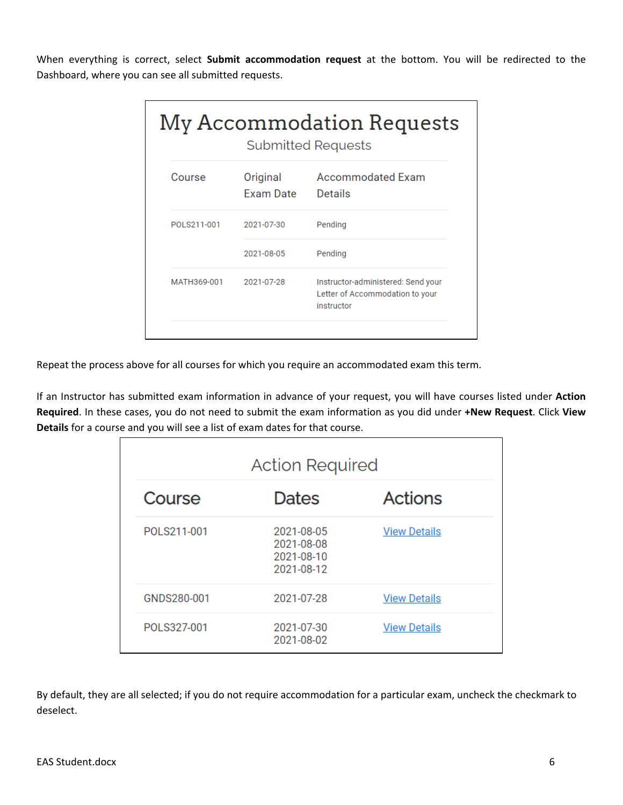When everything is correct, select **Submit accommodation request** at the bottom. You will be redirected to the Dashboard, where you can see all submitted requests.

|              |                              | My Accommodation Requests<br><b>Submitted Requests</b>                              |
|--------------|------------------------------|-------------------------------------------------------------------------------------|
| Course       | Original<br><b>Exam Date</b> | <b>Accommodated Exam</b><br>Details                                                 |
| POI S211-001 | 2021-07-30                   | Pending                                                                             |
|              | 2021-08-05                   | Pending                                                                             |
| MATH369-001  | 2021-07-28                   | Instructor-administered: Send your<br>Letter of Accommodation to your<br>instructor |
|              |                              |                                                                                     |

Repeat the process above for all courses for which you require an accommodated exam this term.

If an Instructor has submitted exam information in advance of your request, you will have courses listed under **Action Required**. In these cases, you do not need to submit the exam information as you did under **+New Request**. Click **View Details** for a course and you will see a list of exam dates for that course.

|             | <b>Action Required</b>                               |                     |
|-------------|------------------------------------------------------|---------------------|
| Course      | <b>Dates</b>                                         | <b>Actions</b>      |
| POLS211-001 | 2021-08-05<br>2021-08-08<br>2021-08-10<br>2021-08-12 | <b>View Details</b> |
| GNDS280-001 | 2021-07-28                                           | <b>View Details</b> |
| POLS327-001 | 2021-07-30<br>2021-08-02                             | <b>View Details</b> |

By default, they are all selected; if you do not require accommodation for a particular exam, uncheck the checkmark to deselect.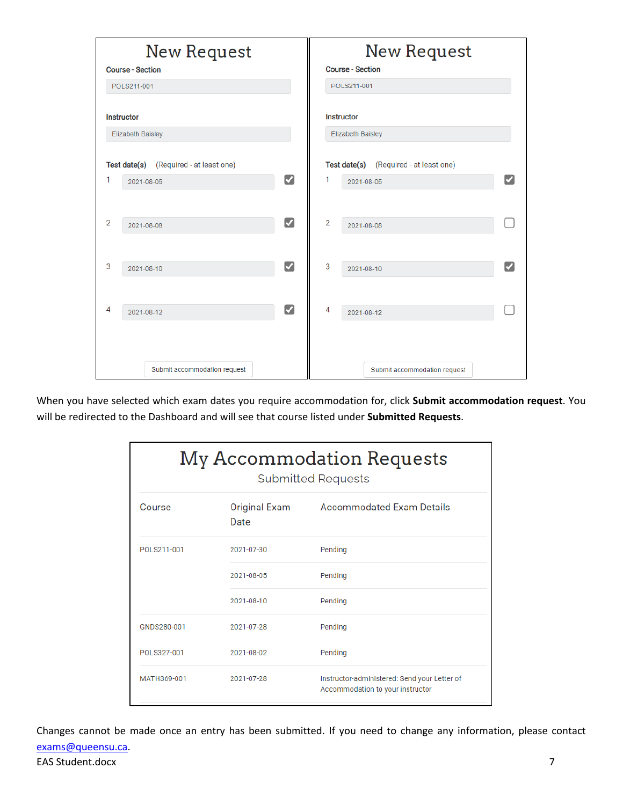|                | <b>Course - Section</b>  | <b>New Request</b>                     |                      |                | <b>New Request</b><br><b>Course - Section</b> |  |
|----------------|--------------------------|----------------------------------------|----------------------|----------------|-----------------------------------------------|--|
|                | POLS211-001              |                                        |                      |                | POLS211-001                                   |  |
|                | <b>Instructor</b>        |                                        |                      |                | <b>Instructor</b>                             |  |
|                | <b>Elizabeth Baisley</b> |                                        |                      |                | <b>Elizabeth Baisley</b>                      |  |
|                |                          | Test date(s) (Required - at least one) |                      |                | Test date(s) (Required - at least one)        |  |
| 1              |                          | 2021-08-05                             | $\blacktriangledown$ | 1              | ✓<br>2021-08-05                               |  |
|                |                          |                                        |                      |                |                                               |  |
| $\overline{2}$ |                          | 2021-08-08                             | $\blacktriangledown$ | $\overline{2}$ | 2021-08-08                                    |  |
|                |                          |                                        |                      |                |                                               |  |
| 3              |                          | 2021-08-10                             | ☑                    | 3              | ✔<br>2021-08-10                               |  |
|                |                          |                                        |                      |                |                                               |  |
| 4              |                          | 2021-08-12                             | $\blacktriangledown$ | 4              | 2021-08-12                                    |  |
|                |                          |                                        |                      |                |                                               |  |
|                |                          |                                        |                      |                |                                               |  |
|                |                          | Submit accommodation request           |                      |                | Submit accommodation request                  |  |

When you have selected which exam dates you require accommodation for, click **Submit accommodation request**. You will be redirected to the Dashboard and will see that course listed under **Submitted Requests**.

| My Accommodation Requests<br><b>Submitted Requests</b> |                       |                                                                                  |  |  |
|--------------------------------------------------------|-----------------------|----------------------------------------------------------------------------------|--|--|
| Course                                                 | Original Exam<br>Date | <b>Accommodated Exam Details</b>                                                 |  |  |
| POLS211-001                                            | 2021-07-30            | Pendina                                                                          |  |  |
|                                                        | 2021-08-05            | Pending                                                                          |  |  |
|                                                        | 2021-08-10            | Pending                                                                          |  |  |
| GNDS280-001                                            | 2021-07-28            | Pending                                                                          |  |  |
| POI S327-001                                           | 2021-08-02            | Pending                                                                          |  |  |
| MATH369-001                                            | 2021-07-28            | Instructor-administered: Send your Letter of<br>Accommodation to your instructor |  |  |

EAS Student.docx 7 Changes cannot be made once an entry has been submitted. If you need to change any information, please contact [exams@queensu.ca.](mailto:exams@queensu.ca)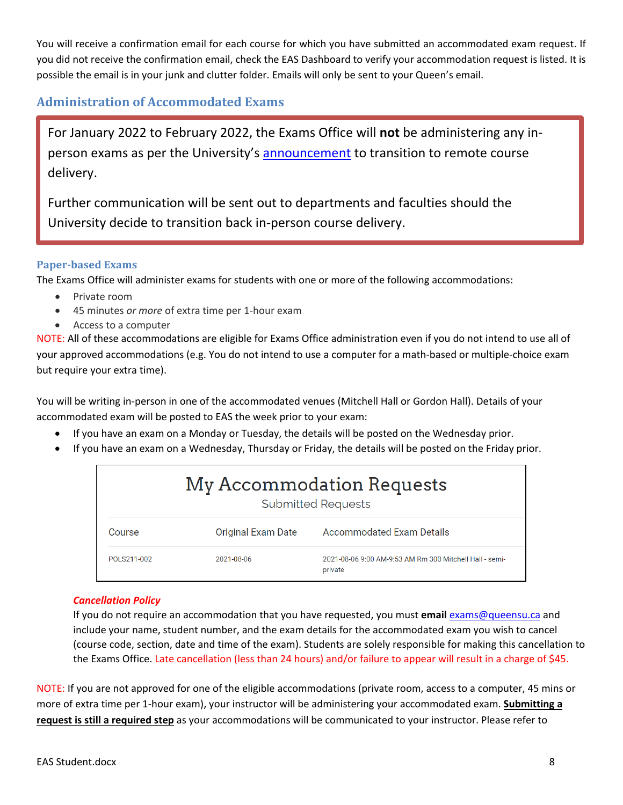You will receive a confirmation email for each course for which you have submitted an accommodated exam request. If you did not receive the confirmation email, check the EAS Dashboard to verify your accommodation request is listed. It is possible the email is in your junk and clutter folder. Emails will only be sent to your Queen's email.

# <span id="page-10-0"></span>**Administration of Accommodated Exams**

For January 2022 to February 2022, the Exams Office will **not** be administering any inperson exams as per the University's [announcement](https://www.queensu.ca/safereturn/queens-transitions-remote-delivery-january-february-2022) to transition to remote course delivery.

Further communication will be sent out to departments and faculties should the University decide to transition back in-person course delivery.

#### <span id="page-10-1"></span>**Paper-based Exams**

The Exams Office will administer exams for students with one or more of the following accommodations:

- Private room
- 45 minutes *or more* of extra time per 1-hour exam
- Access to a computer

NOTE: All of these accommodations are eligible for Exams Office administration even if you do not intend to use all of your approved accommodations (e.g. You do not intend to use a computer for a math-based or multiple-choice exam but require your extra time).

You will be writing in-person in one of the accommodated venues (Mitchell Hall or Gordon Hall). Details of your accommodated exam will be posted to EAS the week prior to your exam:

- If you have an exam on a Monday or Tuesday, the details will be posted on the Wednesday prior.
- If you have an exam on a Wednesday, Thursday or Friday, the details will be posted on the Friday prior.

| My Accommodation Requests<br><b>Submitted Requests</b> |                           |                                                                    |  |  |
|--------------------------------------------------------|---------------------------|--------------------------------------------------------------------|--|--|
| Course                                                 | <b>Original Exam Date</b> | <b>Accommodated Exam Details</b>                                   |  |  |
| POLS211-002                                            | 2021-08-06                | 2021-08-06 9:00 AM-9:53 AM Rm 300 Mitchell Hall - semi-<br>private |  |  |

#### *Cancellation Policy*

If you do not require an accommodation that you have requested, you must **email** [exams@queensu.ca](mailto:exams@queensu.ca) and include your name, student number, and the exam details for the accommodated exam you wish to cancel (course code, section, date and time of the exam). Students are solely responsible for making this cancellation to the Exams Office. Late cancellation (less than 24 hours) and/or failure to appear will result in a charge of \$45.

NOTE: If you are not approved for one of the eligible accommodations (private room, access to a computer, 45 mins or more of extra time per 1-hour exam), your instructor will be administering your accommodated exam. **Submitting a request is still a required step** as your accommodations will be communicated to your instructor. Please refer to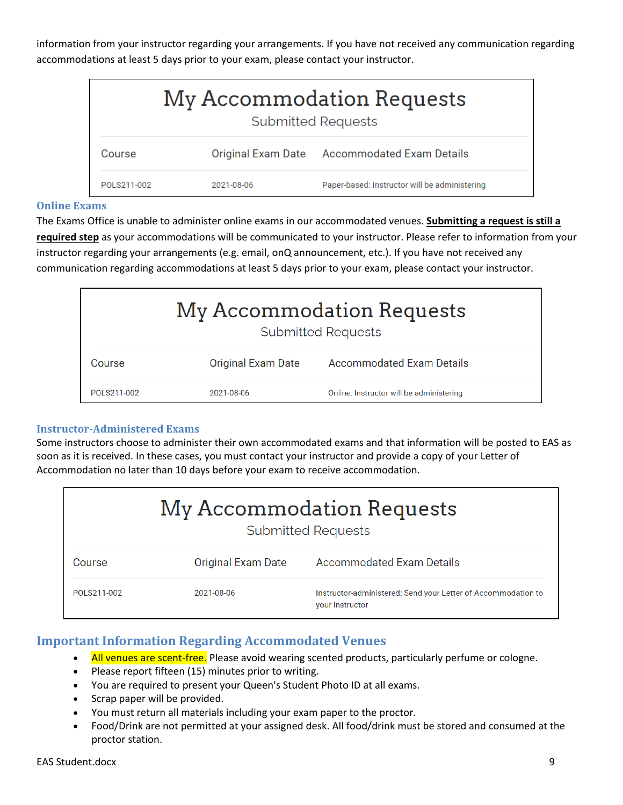information from your instructor regarding your arrangements. If you have not received any communication regarding accommodations at least 5 days prior to your exam, please contact your instructor.

| My Accommodation Requests<br><b>Submitted Requests</b> |            |                                               |  |
|--------------------------------------------------------|------------|-----------------------------------------------|--|
| Course                                                 |            | Original Exam Date Accommodated Exam Details  |  |
| POLS211-002                                            | 2021-08-06 | Paper-based: Instructor will be administering |  |

#### <span id="page-11-0"></span>**Online Exams**

The Exams Office is unable to administer online exams in our accommodated venues. **Submitting a request is still a required step** as your accommodations will be communicated to your instructor. Please refer to information from your instructor regarding your arrangements (e.g. email, onQ announcement, etc.). If you have not received any communication regarding accommodations at least 5 days prior to your exam, please contact your instructor.

| My Accommodation Requests<br><b>Submitted Requests</b>                  |            |                                          |  |  |
|-------------------------------------------------------------------------|------------|------------------------------------------|--|--|
| <b>Accommodated Exam Details</b><br><b>Original Exam Date</b><br>Course |            |                                          |  |  |
| POLS211-002                                                             | 2021-08-06 | Online: Instructor will be administering |  |  |

#### <span id="page-11-1"></span>**Instructor-Administered Exams**

Some instructors choose to administer their own accommodated exams and that information will be posted to EAS as soon as it is received. In these cases, you must contact your instructor and provide a copy of your Letter of Accommodation no later than 10 days before your exam to receive accommodation.

| My Accommodation Requests<br><b>Submitted Requests</b> |                           |                                                                                  |
|--------------------------------------------------------|---------------------------|----------------------------------------------------------------------------------|
| Course                                                 | <b>Original Exam Date</b> | <b>Accommodated Exam Details</b>                                                 |
| POLS211-002                                            | 2021-08-06                | Instructor-administered: Send your Letter of Accommodation to<br>your instructor |

# <span id="page-11-2"></span>**Important Information Regarding Accommodated Venues**

- All venues are scent-free. Please avoid wearing scented products, particularly perfume or cologne.
- Please report fifteen (15) minutes prior to writing.
- You are required to present your Queen's Student Photo ID at all exams.
- Scrap paper will be provided.
- You must return all materials including your exam paper to the proctor.
- Food/Drink are not permitted at your assigned desk. All food/drink must be stored and consumed at the proctor station.